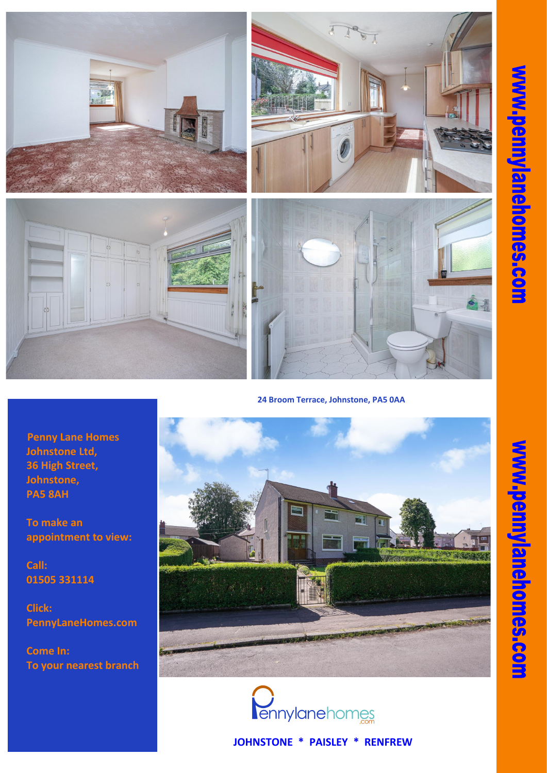**JOHNSTONE \* PAISLEY \* RENFREW**

**Penny Lane Homes Johnstone Ltd, 36 High Street, Johnstone, PA5 8AH**

**To make an appointment to view:**

**Call: 01505 331114**





**Come In: To your nearest branch**









**24 Broom Terrace, Johnstone, PA5 0AA**

 $\mathbb{Z} \mathbb{R}$ 沠 E ANNI IN SAMARA FREE